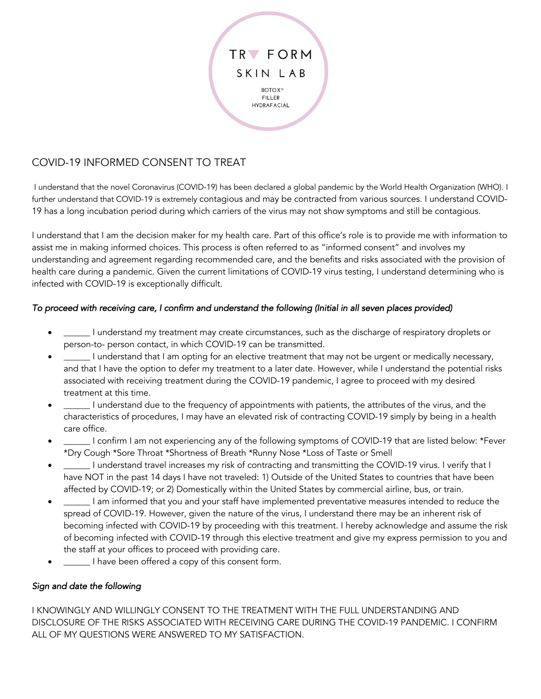

## COVID-19 INFORMED CONSENT TO TREAT

I understand that the novel Coronavirus (COVID-19) has been declared a global pandemic by the World Health Organization (WHO). I further understand that COVID-19 is extremely contagious and may be contracted from various sources. I understand COVID-19 has a long incubation period during which carriers of the virus may not show symptoms and still be contagious.

I understand that I am the decision maker for my health care. Part of this office's role is to provide me with information to assist me in making informed choices. This process is often referred to as "informed consent" and involves my understanding and agreement regarding recommended care, and the benefits and risks associated with the provision of health care during a pandemic. Given the current limitations of COVID-19 virus testing, I understand determining who is infected with COVID-19 is exceptionally difficult.

## *To proceed with receiving care, I confirm and understand the following (Initial in all seven places provided)*

- \_\_\_\_\_\_ I understand my treatment may create circumstances, such as the discharge of respiratory droplets or person-to- person contact, in which COVID-19 can be transmitted.
- I understand that I am opting for an elective treatment that may not be urgent or medically necessary, and that I have the option to defer my treatment to a later date. However, while I understand the potential risks associated with receiving treatment during the COVID-19 pandemic, I agree to proceed with my desired treatment at this time.
- I understand due to the frequency of appointments with patients, the attributes of the virus, and the characteristics of procedures, I may have an elevated risk of contracting COVID-19 simply by being in a health care office.
- \_\_\_\_\_\_ I confirm I am not experiencing any of the following symptoms of COVID-19 that are listed below: \*Fever \*Dry Cough \*Sore Throat \*Shortness of Breath \*Runny Nose \*Loss of Taste or Smell
- \_\_\_\_\_\_ I understand travel increases my risk of contracting and transmitting the COVID-19 virus. I verify that I have NOT in the past 14 days I have not traveled: 1) Outside of the United States to countries that have been affected by COVID-19; or 2) Domestically within the United States by commercial airline, bus, or train.
- I am informed that you and your staff have implemented preventative measures intended to reduce the spread of COVID-19. However, given the nature of the virus, I understand there may be an inherent risk of becoming infected with COVID-19 by proceeding with this treatment. I hereby acknowledge and assume the risk of becoming infected with COVID-19 through this elective treatment and give my express permission to you and the staff at your offices to proceed with providing care.
- I have been offered a copy of this consent form.

## *Sign and date the following*

I KNOWINGLY AND WILLINGLY CONSENT TO THE TREATMENT WITH THE FULL UNDERSTANDING AND DISCLOSURE OF THE RISKS ASSOCIATED WITH RECEIVING CARE DURING THE COVID-19 PANDEMIC. I CONFIRM ALL OF MY QUESTIONS WERE ANSWERED TO MY SATISFACTION.